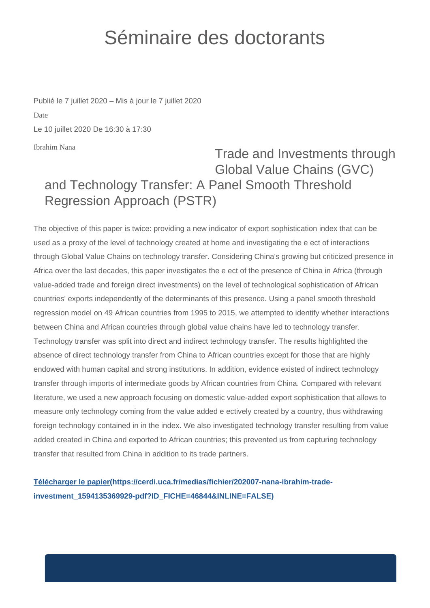## Séminaire des doctorants

Ibrahim Nana Publié le 7 juillet 2020 – Mis à jour le 7 juillet 2020 Date Le 10 juillet 2020 De 16:30 à 17:30

## Trade and Investments through Global Value Chains (GVC) and Technology Transfer: A Panel Smooth Threshold Regression Approach (PSTR)

The objective of this paper is twice: providing a new indicator of export sophistication index that can be used as a proxy of the level of technology created at home and investigating the e ect of interactions through Global Value Chains on technology transfer. Considering China's growing but criticized presence in Africa over the last decades, this paper investigates the e ect of the presence of China in Africa (through value-added trade and foreign direct investments) on the level of technological sophistication of African countries' exports independently of the determinants of this presence. Using a panel smooth threshold regression model on 49 African countries from 1995 to 2015, we attempted to identify whether interactions between China and African countries through global value chains have led to technology transfer. Technology transfer was split into direct and indirect technology transfer. The results highlighted the absence of direct technology transfer from China to African countries except for those that are highly endowed with human capital and strong institutions. In addition, evidence existed of indirect technology transfer through imports of intermediate goods by African countries from China. Compared with relevant literature, we used a new approach focusing on domestic value-added export sophistication that allows to measure only technology coming from the value added e ectively created by a country, thus withdrawing foreign technology contained in in the index. We also investigated technology transfer resulting from value added created in China and exported to African countries; this prevented us from capturing technology transfer that resulted from China in addition to its trade partners.

**[Télécharger le papier\(https://cerdi.uca.fr/medias/fichier/202007-nana-ibrahim-trade](https://cerdi.uca.fr/medias/fichier/202007-nana-ibrahim-trade-investment_1594135369929-pdf?ID_FICHE=46844&INLINE=FALSE)[investment\\_1594135369929-pdf?ID\\_FICHE=46844&INLINE=FALSE\)](https://cerdi.uca.fr/medias/fichier/202007-nana-ibrahim-trade-investment_1594135369929-pdf?ID_FICHE=46844&INLINE=FALSE)**